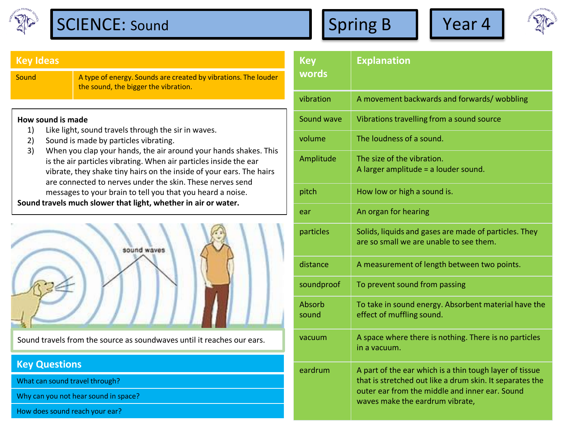

## **Key Ideas**

Sound **A** type of energy. Sounds are created by vibrations. The louder the sound, the bigger the vibration.

## **How sound is made**

- 1) Like light, sound travels through the sir in waves.
- 2) Sound is made by particles vibrating.
- 3) When you clap your hands, the air around your hands shakes. This is the air particles vibrating. When air particles inside the ear vibrate, they shake tiny hairs on the inside of your ears. The hairs are connected to nerves under the skin. These nerves send messages to your brain to tell you that you heard a noise.

**Sound travels much slower that light, whether in air or water.** 



Sound travels from the source as soundwaves until it reaches our ears.

## **Key Questions**

What can sound travel through?

Why can you not hear sound in space?

How does sound reach your ear?

| <b>Key</b><br>words | <b>Explanation</b>                                                                                                                                                                                       |  |  |  |
|---------------------|----------------------------------------------------------------------------------------------------------------------------------------------------------------------------------------------------------|--|--|--|
| vibration           | A movement backwards and forwards/ wobbling                                                                                                                                                              |  |  |  |
| Sound wave          | Vibrations travelling from a sound source                                                                                                                                                                |  |  |  |
| volume              | The loudness of a sound.                                                                                                                                                                                 |  |  |  |
| Amplitude           | The size of the vibration.<br>A larger amplitude = a louder sound.                                                                                                                                       |  |  |  |
| pitch               | How low or high a sound is.                                                                                                                                                                              |  |  |  |
| ear                 | An organ for hearing                                                                                                                                                                                     |  |  |  |
| particles           | Solids, liquids and gases are made of particles. They<br>are so small we are unable to see them.                                                                                                         |  |  |  |
| distance            | A measurement of length between two points.                                                                                                                                                              |  |  |  |
| soundproof          | To prevent sound from passing                                                                                                                                                                            |  |  |  |
| Absorb<br>sound     | To take in sound energy. Absorbent material have the<br>effect of muffling sound.                                                                                                                        |  |  |  |
| vacuum              | A space where there is nothing. There is no particles<br>in a vacuum.                                                                                                                                    |  |  |  |
| eardrum             | A part of the ear which is a thin tough layer of tissue<br>that is stretched out like a drum skin. It separates the<br>outer ear from the middle and inner ear. Sound<br>waves make the eardrum vibrate, |  |  |  |